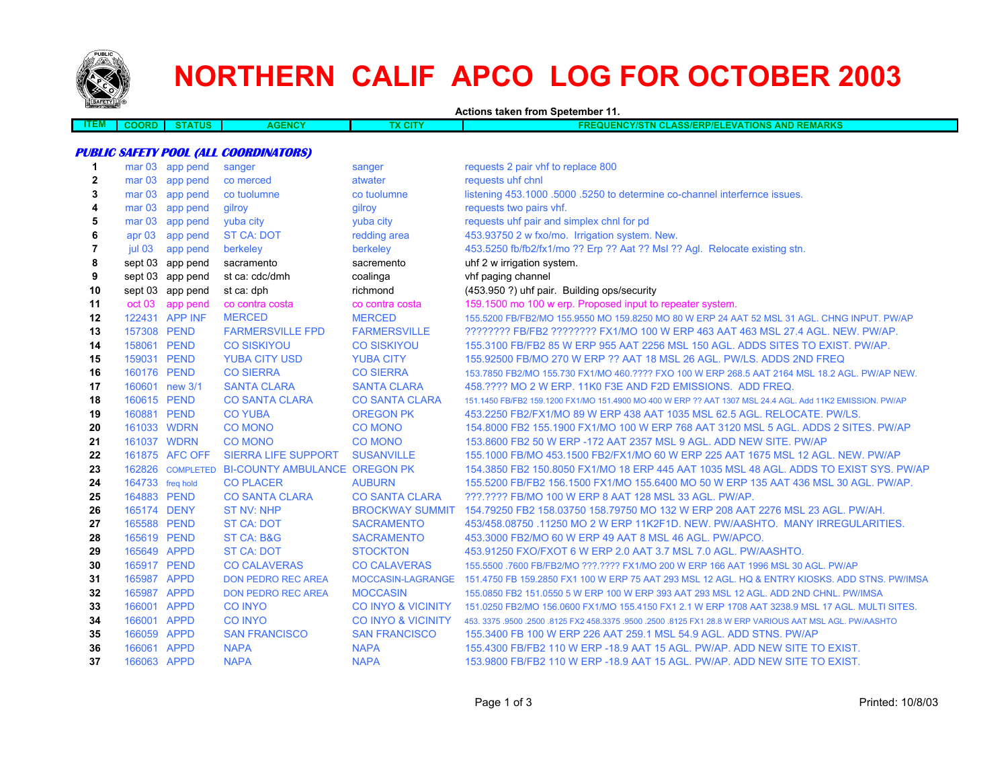

# **NORTHERN CALIF APCO LOG FOR OCTOBER 2003**

**Actions taken from Spetember 11.**

| ≕lWl | <b>JORD</b><br>. | <b>THE</b><br>ua | 41 F<br>.wu | - 1<br>$\mathbf{r}$<br>ыı | <b>THEFT</b><br>AND<br>זווכ<br>40V/Q<br>IONS<br>-1-<br>$\sim$ $\sim$ $\sim$ $\sim$<br>. .<br>- п<br>:VА<br><b>AMARKS</b><br>NU.<br>M<br><b>SIMP</b><br>. .<br>.<br>$\cdots$ |
|------|------------------|------------------|-------------|---------------------------|-----------------------------------------------------------------------------------------------------------------------------------------------------------------------------|
|      |                  |                  |             |                           |                                                                                                                                                                             |

#### **PUBLIC SAFETY POOL (ALL COORDINATORS)**

| $\mathbf 1$  |                   | mar 03 app pend  | sanger                                         | sanger                        | requests 2 pair vhf to replace 800                                                                         |
|--------------|-------------------|------------------|------------------------------------------------|-------------------------------|------------------------------------------------------------------------------------------------------------|
| $\mathbf{2}$ |                   | mar 03 app pend  | co merced                                      | atwater                       | requests uhf chnl                                                                                          |
| 3            | mar <sub>03</sub> | app pend         | co tuolumne                                    | co tuolumne                   | listening 453.1000 .5000 .5250 to determine co-channel interfernce issues.                                 |
| 4            |                   | mar 03 app pend  | gilroy                                         | gilroy                        | requests two pairs vhf.                                                                                    |
| 5            | mar <sub>03</sub> | app pend         | yuba city                                      | yuba city                     | requests uhf pair and simplex chnl for pd                                                                  |
| 6            | apr $03$          | app pend         | <b>ST CA: DOT</b>                              | redding area                  | 453.93750 2 w fxo/mo. Irrigation system. New.                                                              |
| 7            | jul 03            | app pend         | berkeley                                       | berkeley                      | 453.5250 fb/fb2/fx1/mo ?? Erp ?? Aat ?? Msl ?? Agl. Relocate existing stn.                                 |
| 8            |                   | sept 03 app pend | sacramento                                     | sacremento                    | uhf 2 w irrigation system.                                                                                 |
| 9            |                   | sept 03 app pend | st ca: cdc/dmh                                 | coalinga                      | vhf paging channel                                                                                         |
| 10           |                   | sept 03 app pend | st ca: dph                                     | richmond                      | (453.950 ?) uhf pair. Building ops/security                                                                |
| 11           | oct 03            | app pend         | co contra costa                                | co contra costa               | 159.1500 mo 100 w erp. Proposed input to repeater system.                                                  |
| 12           |                   | 122431 APP INF   | <b>MERCED</b>                                  | <b>MERCED</b>                 | 155.5200 FB/FB2/MO 155.9550 MO 159.8250 MO 80 W ERP 24 AAT 52 MSL 31 AGL. CHNG INPUT. PW/AP                |
| 13           | 157308 PEND       |                  | <b>FARMERSVILLE FPD</b>                        | <b>FARMERSVILLE</b>           | ???????? FB/FB2 ??????? FX1/MO 100 W ERP 463 AAT 463 MSL 27.4 AGL. NEW. PW/AP.                             |
| 14           | 158061 PEND       |                  | <b>CO SISKIYOU</b>                             | <b>CO SISKIYOU</b>            | 155,3100 FB/FB2 85 W ERP 955 AAT 2256 MSL 150 AGL, ADDS SITES TO EXIST, PW/AP.                             |
| 15           | 159031 PEND       |                  | <b>YUBA CITY USD</b>                           | <b>YUBA CITY</b>              | 155.92500 FB/MO 270 W ERP ?? AAT 18 MSL 26 AGL. PW/LS. ADDS 2ND FREQ                                       |
| 16           | 160176 PEND       |                  | <b>CO SIERRA</b>                               | <b>CO SIERRA</b>              | 153.7850 FB2/MO 155.730 FX1/MO 460.???? FXO 100 W ERP 268.5 AAT 2164 MSL 18.2 AGL, PW/AP NEW.              |
| 17           |                   | 160601 new 3/1   | <b>SANTA CLARA</b>                             | <b>SANTA CLARA</b>            | 458. ???? MO 2 W ERP. 11K0 F3E AND F2D EMISSIONS. ADD FREQ.                                                |
| 18           | 160615 PEND       |                  | <b>CO SANTA CLARA</b>                          | <b>CO SANTA CLARA</b>         | 151.1450 FB/FB2 159.1200 FX1/MO 151.4900 MO 400 W ERP ?? AAT 1307 MSL 24.4 AGL. Add 11K2 EMISSION. PW/AP   |
| 19           | 160881 PEND       |                  | <b>CO YUBA</b>                                 | OREGON PK                     | 453.2250 FB2/FX1/MO 89 W ERP 438 AAT 1035 MSL 62.5 AGL. RELOCATE, PW/LS.                                   |
| 20           | 161033 WDRN       |                  | <b>CO MONO</b>                                 | <b>CO MONO</b>                | 154,8000 FB2 155,1900 FX1/MO 100 W ERP 768 AAT 3120 MSL 5 AGL, ADDS 2 SITES, PW/AP                         |
| 21           | 161037 WDRN       |                  | <b>CO MONO</b>                                 | <b>CO MONO</b>                | 153,8600 FB2 50 W ERP -172 AAT 2357 MSL 9 AGL, ADD NEW SITE, PW/AP                                         |
| 22           |                   | 161875 AFC OFF   | <b>SIERRA LIFE SUPPORT</b>                     | <b>SUSANVILLE</b>             | 155.1000 FB/MO 453.1500 FB2/FX1/MO 60 W ERP 225 AAT 1675 MSL 12 AGL, NEW, PW/AP                            |
| 23           |                   |                  | 162826 COMPLETED BI-COUNTY AMBULANCE OREGON PK |                               | 154,3850 FB2 150,8050 FX1/MO 18 ERP 445 AAT 1035 MSL 48 AGL. ADDS TO EXIST SYS, PW/AP                      |
| 24           | 164733 freq hold  |                  | <b>CO PLACER</b>                               | <b>AUBURN</b>                 | 155,5200 FB/FB2 156,1500 FX1/MO 155,6400 MO 50 W ERP 135 AAT 436 MSL 30 AGL. PW/AP.                        |
| 25           | 164883 PEND       |                  | <b>CO SANTA CLARA</b>                          | <b>CO SANTA CLARA</b>         | ???.???? FB/MO 100 W ERP 8 AAT 128 MSL 33 AGL, PW/AP.                                                      |
| 26           | 165174 DENY       |                  | <b>ST NV: NHP</b>                              | <b>BROCKWAY SUMMIT</b>        | 154.79250 FB2 158.03750 158.79750 MO 132 W ERP 208 AAT 2276 MSL 23 AGL. PW/AH.                             |
| 27           | 165588 PEND       |                  | <b>ST CA: DOT</b>                              | <b>SACRAMENTO</b>             | 453/458.08750 .11250 MO 2 W ERP 11K2F1D, NEW, PW/AASHTO, MANY IRREGULARITIES.                              |
| 28           | 165619 PEND       |                  | ST CA: B&G                                     | <b>SACRAMENTO</b>             | 453,3000 FB2/MO 60 W ERP 49 AAT 8 MSL 46 AGL, PW/APCO.                                                     |
| 29           | 165649 APPD       |                  | <b>ST CA: DOT</b>                              | <b>STOCKTON</b>               | 453.91250 FXO/FXOT 6 W ERP 2.0 AAT 3.7 MSL 7.0 AGL. PW/AASHTO.                                             |
| 30           | 165917 PEND       |                  | <b>CO CALAVERAS</b>                            | <b>CO CALAVERAS</b>           | 155.5500 .7600 FB/FB2/MO ???.???? FX1/MO 200 W ERP 166 AAT 1996 MSL 30 AGL. PW/AP                          |
| 31           | 165987 APPD       |                  | <b>DON PEDRO REC AREA</b>                      | MOCCASIN-LAGRANGE             | 151.4750 FB 159.2850 FX1 100 W ERP 75 AAT 293 MSL 12 AGL. HQ & ENTRY KIOSKS. ADD STNS. PW/IMSA             |
| 32           | 165987 APPD       |                  | <b>DON PEDRO REC AREA</b>                      | <b>MOCCASIN</b>               | 155.0850 FB2 151.0550 5 W ERP 100 W ERP 393 AAT 293 MSL 12 AGL. ADD 2ND CHNL. PW/IMSA                      |
| 33           | 166001 APPD       |                  | <b>CO INYO</b>                                 | <b>CO INYO &amp; VICINITY</b> | 151.0250 FB2/MO 156.0600 FX1/MO 155.4150 FX1 2.1 W ERP 1708 AAT 3238.9 MSL 17 AGL, MULTI SITES.            |
| 34           | 166001 APPD       |                  | <b>CO INYO</b>                                 | <b>CO INYO &amp; VICINITY</b> | 453, 3375, 9500, 2500, 8125 FX2 458, 3375, 9500, 2500, 8125 FX1 28, 8 W ERP VARIOUS AAT MSL AGL, PW/AASHTO |
| 35           | 166059 APPD       |                  | <b>SAN FRANCISCO</b>                           | <b>SAN FRANCISCO</b>          | 155.3400 FB 100 W ERP 226 AAT 259.1 MSL 54.9 AGL. ADD STNS. PW/AP                                          |
| 36           | 166061 APPD       |                  | <b>NAPA</b>                                    | <b>NAPA</b>                   | 155.4300 FB/FB2 110 W ERP -18.9 AAT 15 AGL. PW/AP. ADD NEW SITE TO EXIST.                                  |
| 37           | 166063 APPD       |                  | <b>NAPA</b>                                    | <b>NAPA</b>                   | 153,9800 FB/FB2 110 W ERP -18.9 AAT 15 AGL, PW/AP, ADD NEW SITE TO EXIST.                                  |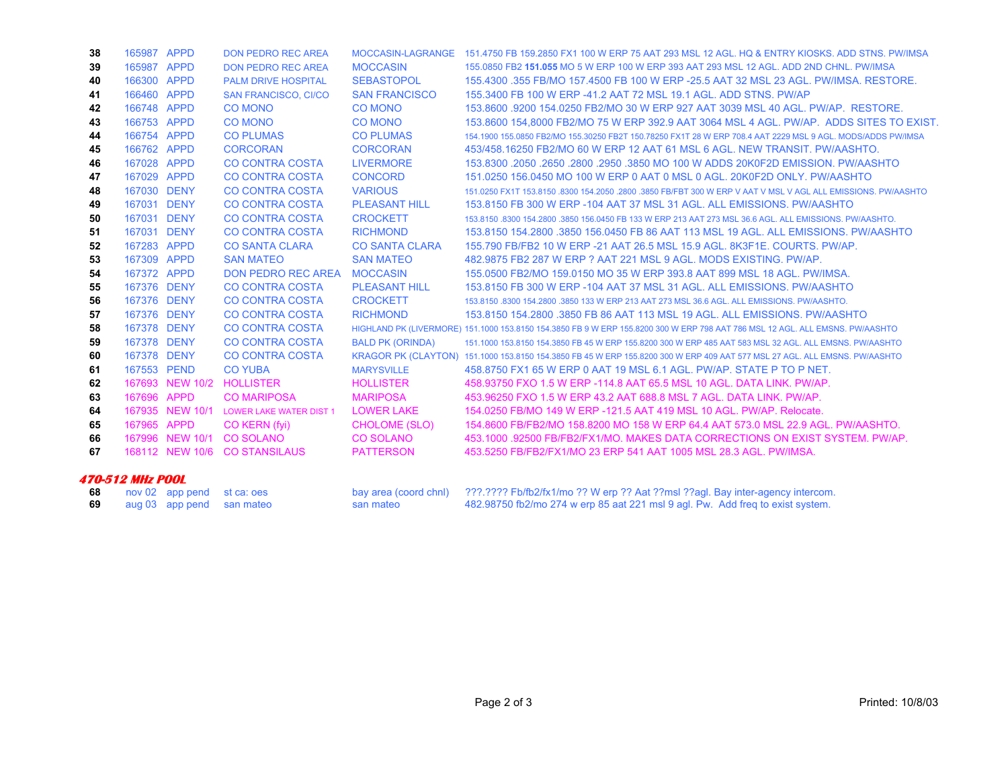| 38                      | 165987 APPD |                 | <b>DON PEDRO REC AREA</b>      |                         | MOCCASIN-LAGRANGE 151.4750 FB 159.2850 FX1 100 W ERP 75 AAT 293 MSL 12 AGL. HQ & ENTRY KIOSKS, ADD STNS, PW/IMSA              |
|-------------------------|-------------|-----------------|--------------------------------|-------------------------|-------------------------------------------------------------------------------------------------------------------------------|
| 39                      | 165987 APPD |                 | <b>DON PEDRO REC AREA</b>      | <b>MOCCASIN</b>         | 155,0850 FB2 151,055 MO 5 W ERP 100 W ERP 393 AAT 293 MSL 12 AGL. ADD 2ND CHNL, PW/IMSA                                       |
| 40                      | 166300 APPD |                 | <b>PALM DRIVE HOSPITAL</b>     | <b>SEBASTOPOL</b>       | 155,4300,355 FB/MO 157,4500 FB 100 W ERP -25.5 AAT 32 MSL 23 AGL, PW/IMSA, RESTORE.                                           |
| 41                      | 166460 APPD |                 | <b>SAN FRANCISCO, CI/CO</b>    | <b>SAN FRANCISCO</b>    | 155,3400 FB 100 W ERP -41.2 AAT 72 MSL 19.1 AGL, ADD STNS, PW/AP                                                              |
| 42                      | 166748 APPD |                 | <b>CO MONO</b>                 | <b>CO MONO</b>          | 153,8600,9200 154,0250 FB2/MO 30 W ERP 927 AAT 3039 MSL 40 AGL, PW/AP, RESTORE.                                               |
| 43                      | 166753 APPD |                 | <b>CO MONO</b>                 | <b>CO MONO</b>          | 153,8600 154,8000 FB2/MO 75 W ERP 392.9 AAT 3064 MSL 4 AGL, PW/AP, ADDS SITES TO EXIST.                                       |
| 44                      | 166754 APPD |                 | <b>CO PLUMAS</b>               | <b>CO PLUMAS</b>        | 154.1900 155.0850 FB2/MO 155.30250 FB2T 150.78250 FX1T 28 W ERP 708.4 AAT 2229 MSL 9 AGL. MODS/ADDS PW/IMSA                   |
| 45                      | 166762 APPD |                 | <b>CORCORAN</b>                | <b>CORCORAN</b>         | 453/458,16250 FB2/MO 60 W ERP 12 AAT 61 MSL 6 AGL, NEW TRANSIT, PW/AASHTO.                                                    |
| 46                      | 167028 APPD |                 | <b>CO CONTRA COSTA</b>         | <b>LIVERMORE</b>        | 153.8300 .2050 .2650 .2800 .2950 .3850 MO 100 W ADDS 20K0F2D EMISSION. PW/AASHTO                                              |
| 47                      | 167029 APPD |                 | <b>CO CONTRA COSTA</b>         | <b>CONCORD</b>          | 151,0250 156,0450 MO 100 W ERP 0 AAT 0 MSL 0 AGL, 20K0F2D ONLY, PW/AASHTO                                                     |
| 48                      | 167030 DENY |                 | <b>CO CONTRA COSTA</b>         | <b>VARIOUS</b>          | 151.0250 FX1T 153.8150 .8300 154.2050 .2800 .3850 FB/FBT 300 W ERP V AAT V MSL V AGL ALL EMISSIONS, PW/AASHTO                 |
| 49                      | 167031 DENY |                 | <b>CO CONTRA COSTA</b>         | <b>PLEASANT HILL</b>    | 153.8150 FB 300 W ERP -104 AAT 37 MSL 31 AGL, ALL EMISSIONS, PW/AASHTO                                                        |
| 50                      | 167031 DENY |                 | <b>CO CONTRA COSTA</b>         | <b>CROCKETT</b>         | 153,8150 .8300 154,2800 .3850 156,0450 FB 133 W ERP 213 AAT 273 MSL 36.6 AGL. ALL EMISSIONS, PW/AASHTO,                       |
| 51                      | 167031 DENY |                 | <b>CO CONTRA COSTA</b>         | <b>RICHMOND</b>         | 153.8150 154.2800 .3850 156.0450 FB 86 AAT 113 MSL 19 AGL, ALL EMISSIONS, PW/AASHTO                                           |
| 52                      | 167283 APPD |                 | <b>CO SANTA CLARA</b>          | <b>CO SANTA CLARA</b>   | 155.790 FB/FB2 10 W ERP -21 AAT 26.5 MSL 15.9 AGL, 8K3F1E, COURTS, PW/AP.                                                     |
| 53                      | 167309 APPD |                 | <b>SAN MATEO</b>               | <b>SAN MATEO</b>        | 482.9875 FB2 287 W ERP ? AAT 221 MSL 9 AGL, MODS EXISTING, PW/AP.                                                             |
| 54                      | 167372 APPD |                 | <b>DON PEDRO REC AREA</b>      | <b>MOCCASIN</b>         | 155,0500 FB2/MO 159,0150 MO 35 W ERP 393.8 AAT 899 MSL 18 AGL, PW/IMSA.                                                       |
| 55                      | 167376 DENY |                 | <b>CO CONTRA COSTA</b>         | <b>PLEASANT HILL</b>    | 153,8150 FB 300 W ERP -104 AAT 37 MSL 31 AGL, ALL EMISSIONS, PW/AASHTO                                                        |
| 56                      | 167376 DENY |                 | <b>CO CONTRA COSTA</b>         | <b>CROCKETT</b>         | 153,8150,8300 154,2800,3850 133 W ERP 213 AAT 273 MSL 36.6 AGL, ALL EMISSIONS, PW/AASHTO,                                     |
| 57                      | 167376 DENY |                 | <b>CO CONTRA COSTA</b>         | <b>RICHMOND</b>         | 153.8150 154.2800 .3850 FB 86 AAT 113 MSL 19 AGL, ALL EMISSIONS, PW/AASHTO                                                    |
| 58                      | 167378 DENY |                 | <b>CO CONTRA COSTA</b>         |                         | HIGHLAND PK (LIVERMORE) 151,1000 153,8150 154,3850 FB 9 W ERP 155,8200 300 W ERP 798 AAT 786 MSL 12 AGL. ALL EMSNS, PW/AASHTO |
| 59                      | 167378 DENY |                 | <b>CO CONTRA COSTA</b>         | <b>BALD PK (ORINDA)</b> | 151,1000 153,8150 154,3850 FB 45 W ERP 155,8200 300 W ERP 485 AAT 583 MSL 32 AGL, ALL EMSNS, PW/AASHTO                        |
| 60                      | 167378 DENY |                 | <b>CO CONTRA COSTA</b>         |                         | KRAGOR PK (CLAYTON) 151.1000 153.8150 154.3850 FB 45 W ERP 155.8200 300 W ERP 409 AAT 577 MSL 27 AGL. ALL EMSNS. PW/AASHTO    |
| 61                      | 167553 PEND |                 | <b>CO YUBA</b>                 | <b>MARYSVILLE</b>       | 458,8750 FX1 65 W ERP 0 AAT 19 MSL 6.1 AGL, PW/AP, STATE P TO P NET.                                                          |
| 62                      |             | 167693 NEW 10/2 | <b>HOLLISTER</b>               | <b>HOLLISTER</b>        | 458,93750 FXO 1.5 W ERP -114.8 AAT 65.5 MSL 10 AGL, DATA LINK, PW/AP.                                                         |
| 63                      | 167696 APPD |                 | <b>CO MARIPOSA</b>             | <b>MARIPOSA</b>         | 453,96250 FXO 1.5 W ERP 43.2 AAT 688.8 MSL 7 AGL, DATA LINK, PW/AP,                                                           |
| 64                      |             | 167935 NEW 10/1 | <b>LOWER LAKE WATER DIST 1</b> | <b>LOWER LAKE</b>       | 154,0250 FB/MO 149 W ERP -121.5 AAT 419 MSL 10 AGL, PW/AP, Relocate.                                                          |
| 65                      | 167965 APPD |                 | CO KERN (fyi)                  | <b>CHOLOME (SLO)</b>    | 154,8600 FB/FB2/MO 158,8200 MO 158 W ERP 64.4 AAT 573.0 MSL 22.9 AGL, PW/AASHTO,                                              |
| 66                      |             | 167996 NEW 10/1 | <b>CO SOLANO</b>               | <b>CO SOLANO</b>        | 453.1000 .92500 FB/FB2/FX1/MO. MAKES DATA CORRECTIONS ON EXIST SYSTEM. PW/AP.                                                 |
| 67                      |             | 168112 NEW 10/6 | <b>CO STANSILAUS</b>           | <b>PATTERSON</b>        | 453.5250 FB/FB2/FX1/MO 23 ERP 541 AAT 1005 MSL 28.3 AGL, PW/IMSA.                                                             |
| <b>470-512 MHz POOL</b> |             |                 |                                |                         |                                                                                                                               |
| 68                      |             | nov 02 app pend | st ca: oes                     | bay area (coord chnl)   | ???.???? Fb/fb2/fx1/mo ?? W erp ?? Aat ??msl ??agl. Bay inter-agency intercom.                                                |

|  | 68 nov 02 app pend st ca: oes |           | bay area (coord chnl) ???.???? Fb/fb2/fx1/mo ?? W erp ?? Aat ??msl ??agl. Bay inter-agency intercom. |
|--|-------------------------------|-----------|------------------------------------------------------------------------------------------------------|
|  | 69 aug 03 app pend san mateo  | san mateo | 482.98750 fb2/mo 274 w erp 85 aat 221 msl 9 agl. Pw. Add freq to exist system.                       |